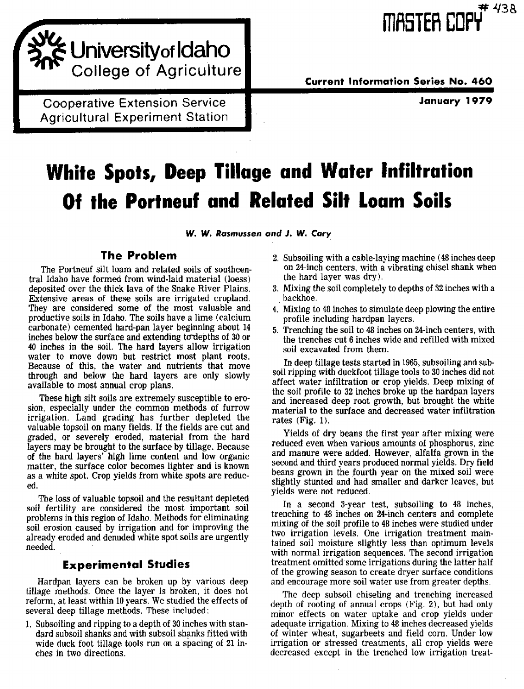Universityof Idaho College of Agriculture

Agricultural Experiment Station ICooperative Extension Service

**Current Information Series No. 460** 

**January 1979**

# **White Spots, Deep Tillage and Water Infiltration Of the Portneuf and Related Silt Loam Soils**

**W. W. Rasmussen** *and J. W.* **Cary**

## **The Problem**

The Portneuf silt loam and related soils of southcentral Idaho have formed from wind-laid material (loess) deposited over the thick lava of the Snake River Plains. Extensive areas of these soils are irrigated cropland. They are considered some of the most valuable and productive soils in Idaho. The soils have a lime (calcium carbonate) cemented hard-pan layer beginning about 14 inches below the surface and extending to depths of 30 or 40 inches in the soil. The hard layers allow irrigation water to move down but restrict most plant roots. Because of this, the water and nutrients that move through and below the hard layers are only slowly available to most annual crop plans.

These high silt soils are extremely susceptible to erosion, especially under the common methods of furrow irrigation. Land grading has further depleted the valuable topsoil on many fields. If the fields are cut and graded, or severely eroded, material from the hard layers may be brought to the surface by tillage. Because of the hard layers' high lime content and low organic matter, the surface color becomes lighter and is known as a white spot. Crop yields from white spots are reduced.

The loss of valuable topsoil and the resultant depleted soil fertility are considered the most important soil problems in this region of Idaho. Methods for eliminating soil erosion caused by irrigation and for improving the already eroded and denuded white spot soils are urgently needed.

### **Experimental Studies**

Hardpan layers can be broken up by various deep tillage methods. Once the layer is broken, it does not reform, at least within 10 years. We studied the effects of several deep tillage methods. These included:

1. Subsoiling and ripping to a depth of 30 inches with standard subsoil shanks and with subsoil shanks fitted with wide duck foot tillage tools run on a spacing of 21 inches in two directions.

- 2. Subsoiling with a cable-laying machine (48 inches deep on 24-inch centers, with a vibrating chisel shank when the hard layer was dry ).
- 3. Mixing the soil completely to depths of 32 inches with a backhoe.
- 4. Mixing to 48 inches to simulate deep plowing the entire profile including hardpan layers.
- 5. Trenching the soil to 48 inches on 24-inch centers, with the trenches cut 6 inches wide and refilled with mixed soil excavated from them.

In deep tillage tests started in 1965, subsoiling and subsoil ripping with duckfoot tillage tools to 30 inches did not affect water infiltration or crop yields. Deep mixing of the soil profile to 32 inches broke up the hardpan layers and increased deep root growth, but brought the white material to the surface and decreased water infiltration rates (Fig. 1).

Yields of dry beans the first year after mixing were reduced even when various amounts of phosphorus, zinc and manure were added. However, alfalfa grown in the second and third years produced normal yields. Dry field beans grown in the fourth year on the mixed soil were slightly stunted and had smaller and darker leaves, but yields were not reduced.

In a second 3-year test, subsoiling to 48 inches, trenching to 48 inches on 24-inch centers and complete mixing of the soil profile to 48 inches were studied under two irrigation levels, One irrigation treatment maintained soil moisture slightly less than optimum levels with normal irrigation sequences. The second irrigation treatment omitted some irrigations during the latter half of the growing season to create dryer surface conditions and encourage more soil water use from greater depths.

The deep subsoil chiseling and trenching increased depth of rooting of annual crops (Fig. 2), but had only minor effects on water uptake and crop yields under adequate irrigation. Mixing to 48 inches decreased yields of winter wheat, sugarbeets and field corn. Under low irrigation or stressed treatments, all crop yields were decreased except in the trenched low irrigation treat-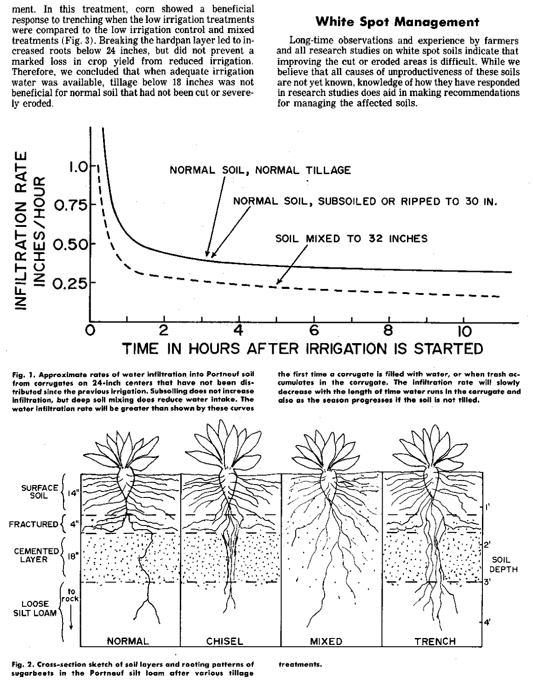ment. In this treatment, corn showed a beneficial response to trenching when the low irrigation treatments were compared to the low irrigation control and mixed treatments (Fig. 3). Breaking the hardpan layer led to increased roots below 24 inches, but did not prevent a marked loss in crop yield from reduced irrigation. Therefore, we concluded that when adequate irrigation water was available, tillage below 18 inches was not beneficial for normal soil that had not been cut or severely eroded.

## **White Spot Management**

Long-time observations and experience by farmers and all research studies on white spot soils indicate that improving the cut or eroded areas is difficult. While we believe that all causes of unproductiveness of these soils are not yet known, knowledge of how they have responded in research studies does aid in making recommendations for managing the affected soils.



Fig. 1. Approximate rates of water infiltration Into Portneuf soil . from corrugates on **24**-inch centers that have not been distributed since the previous irrigation. Subsoiling does not increase infiltration, but deep soil mixing does reduce water intake. The water Infiltration rate will be greater than shown by these curves the first time a corrugate is filled with water, or when trash accumulates in the corrugate. The infiltration rate will slowly decrease with the length of time water runs in the corrugate and also as the season progresses if the soil is not tilled.



Fig. 2. Cross-section sketch of soil layers and rooting patterns of treatments. sugarbeets in the Portneuf silt loam after various tillage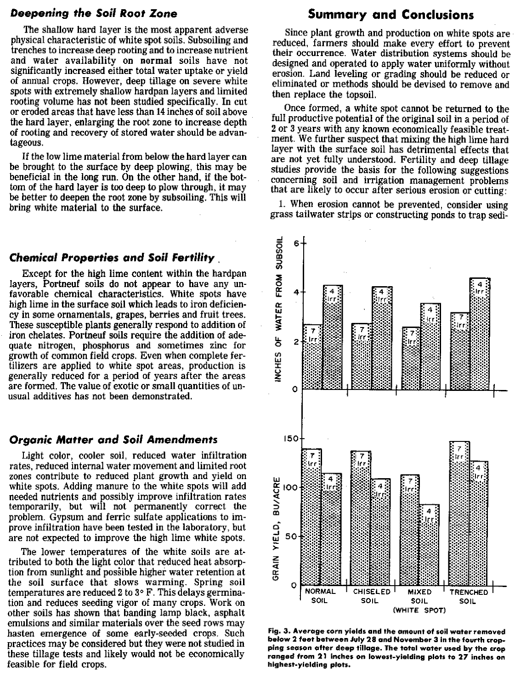#### *Deepening the* **Soil Root Zone**

The shallow hard layer is the most apparent adverse physical characteristic of white spot soils. Subsoiling and trenches to increase deep rooting and to increase nutrient and water availability on normal soils have not significantly increased either total water uptake or yield of annual crops. However, deep tillage on severe white spots with extremely shallow hardpan layers and limited rooting volume has not been studied specifically. In cut or eroded areas that have less than 14 inches of soil above the hard layer, enlarging the root zone to increase depth of rooting and recovery of stored water should be advantageous.

If the low lime material from below the hard layer can be brought to the surface by deep plowing, this may be beneficial in the long run. On the other hand, if the bottom of the hard layer is too deep to plow through, it may be better to deepen the root zone by subsoiling. This will bring white material to the surface.

#### **Chemical Properties and Soil Fertility ,**

Except for the high lime content within the hardpan layers, Portneuf soils do not appear to have any unfavorable chemical characteristics. White spots have high lime in the surface soil which leads to iron deficiency in some ornamentals, grapes, berries and fruit trees. These susceptible plants generally respond to addition of iron chelates. Portneuf soils require the addition of adequate nitrogen, phosphorus and sometimes zinc for growth of common field crops. Even when complete fertilizers are applied to white spot areas, production is generally reduced for a period of years after the areas are formed. The value of exotic or small quantities of unusual additives has not been demonstrated.

#### *Organic Matter and Soil Amendments*

Light color, cooler soil, reduced water infiltration rates, reduced internal water movement and limited root zones contribute to reduced plant growth and yield on white spots. Adding manure to the white spots will add needed nutrients and possibly improve infiltration rates temporarily, but will not permanently correct the problem. Gypsum and ferric sulfate applications to improve infiltration have been tested in the laboratory, but are not expected to improve the high lime white spots.

The lower temperatures of the white soils are attributed to both the light color that reduced heat absorption from sunlight and posiible higher water retention at the soil surface that slows warming. Spring soil temperatures are reduced 2 to 3° F. This delays germination and reduces seeding vigor of many crops. Work on other soils has shown that banding lamp black, asphalt emulsions and similar materials over the seed rows may hasten emergence of some early-seeded crops, Such practices may be considered but they were not studied in these tillage tests and likely would not be economically feasible for field crops.

## **Summary and Conclusions**

Since plant growth and production on white spots are reduced, farmers should make every effort to prevent their occurrence. Water distribution systems should be designed and operated to apply water uniformly without erosion. Land leveling or grading should be reduced or eliminated or methods should be devised to remove and then replace the topsoil.

Once formed, a white spot cannot be returned to the full productive potential of the original soil in a period of 2 or 3 years with any known economically feasible treatment. We further suspect that mixing the high lime hard layer with the surface soil has detrimental effects that are not yet fully understood. Fertility and deep tillage studies provide the basis for the following suggestions concerning soil and irrigation management problems that are likely to occur after serious erosion or cutting:

1. When erosion cannot be prevented, consider using grass tailwater strips or constructing ponds to trap sedi-



Fig. 3. Average corn yields and the amount of soil water removed below 2 feet between July 28 and November 3 in the fourth cropping season after deep tillage. The total water used by the crop ranged from 21 inches on lowest-yielding plots to 27 inches on highest-yielding plots.